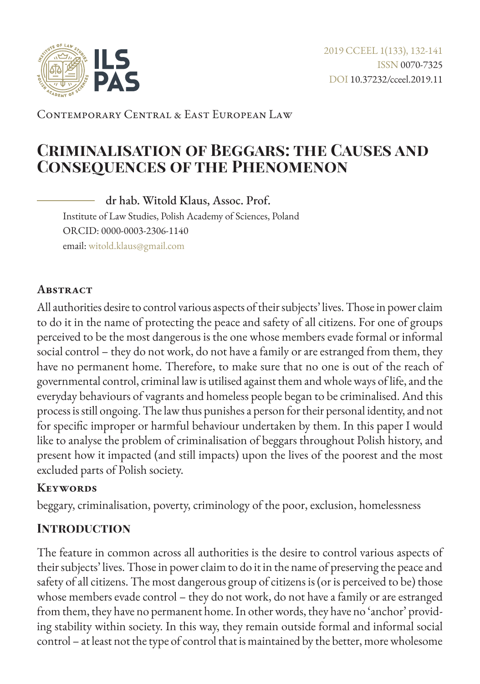

Contemporary Central & East European Law

# **Criminalisation of Beggars: the Causes and Consequences of the Phenomenon**

dr hab. Witold Klaus, Assoc. Prof. Institute of Law Studies, Polish Academy of Sciences, Poland ORCID: 0000-0003-2306-1140 email: [witold.klaus@gmail.com](mailto:witold.klaus%40gmail.com?subject=)

#### **Abstract**

All authorities desire to control various aspects of their subjects' lives. Those in power claim to do it in the name of protecting the peace and safety of all citizens. For one of groups perceived to be the most dangerous is the one whose members evade formal or informal social control – they do not work, do not have a family or are estranged from them, they have no permanent home. Therefore, to make sure that no one is out of the reach of governmental control, criminal law is utilised against them and whole ways of life, and the everyday behaviours of vagrants and homeless people began to be criminalised. And this process is still ongoing. The law thus punishes a person for their personal identity, and not for specific improper or harmful behaviour undertaken by them. In this paper I would like to analyse the problem of criminalisation of beggars throughout Polish history, and present how it impacted (and still impacts) upon the lives of the poorest and the most excluded parts of Polish society.

#### **Keywords**

beggary, criminalisation, poverty, criminology of the poor, exclusion, homelessness

### **Introduction**

The feature in common across all authorities is the desire to control various aspects of their subjects' lives. Those in power claim to do it in the name of preserving the peace and safety of all citizens. The most dangerous group of citizens is (or is perceived to be) those whose members evade control – they do not work, do not have a family or are estranged from them, they have no permanent home. In other words, they have no 'anchor' providing stability within society. In this way, they remain outside formal and informal social control – at least not the type of control that is maintained by the better, more wholesome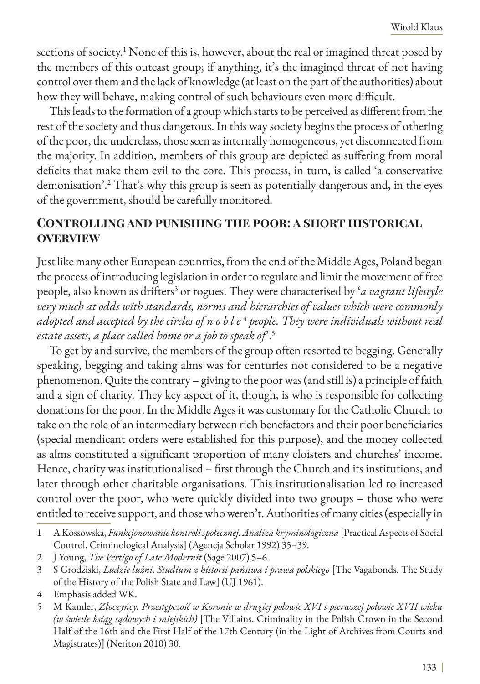sections of society.<sup>1</sup> None of this is, however, about the real or imagined threat posed by the members of this outcast group; if anything, it's the imagined threat of not having control over them and the lack of knowledge (at least on the part of the authorities) about how they will behave, making control of such behaviours even more difficult.

This leads to the formation of a group which starts to be perceived as different from the rest of the society and thus dangerous. In this way society begins the process of othering of the poor, the underclass, those seen as internally homogeneous, yet disconnected from the majority. In addition, members of this group are depicted as suffering from moral deficits that make them evil to the core. This process, in turn, is called 'a conservative demonisation'.2 That's why this group is seen as potentially dangerous and, in the eyes of the government, should be carefully monitored.

## **Controlling and punishing the poor: a short historical overview**

Just like many other European countries, from the end of the Middle Ages, Poland began the process of introducing legislation in order to regulate and limit the movement of free people, also known as drifters<sup>3</sup> or rogues. They were characterised by '*a vagrant lifestyle very much at odds with standards, norms and hierarchies of values which were commonly adopted and accepted by the circles of noble* <sup>4</sup> *people. They were individuals without real estate assets, a place called home or a job to speak of*'.5

To get by and survive, the members of the group often resorted to begging. Generally speaking, begging and taking alms was for centuries not considered to be a negative phenomenon. Quite the contrary – giving to the poor was (and still is) a principle of faith and a sign of charity. They key aspect of it, though, is who is responsible for collecting donations for the poor. In the Middle Ages it was customary for the Catholic Church to take on the role of an intermediary between rich benefactors and their poor beneficiaries (special mendicant orders were established for this purpose), and the money collected as alms constituted a significant proportion of many cloisters and churches' income. Hence, charity was institutionalised – first through the Church and its institutions, and later through other charitable organisations. This institutionalisation led to increased control over the poor, who were quickly divided into two groups – those who were entitled to receive support, and those who weren't. Authorities of many cities (especially in

<sup>1</sup> A Kossowska, *Funkcjonowanie kontroli społecznej. Analiza kryminologiczna* [Practical Aspects of Social Control. Criminological Analysis] (Agencja Scholar 1992) 35–39.

<sup>2</sup> J Young, *The Vertigo of Late Modernit* (Sage 2007) 5–6.

<sup>3</sup> S Grodziski, *Ludzie luźni. Studium z historii państwa i prawa polskiego* [The Vagabonds. The Study of the History of the Polish State and Law] (UJ 1961).

<sup>4</sup> Emphasis added WK.

<sup>5</sup> M Kamler, *Złoczyńcy. Przestępczość w Koronie w drugiej połowie XVI i pierwszej połowie XVII wieku (w świetle ksiąg sądowych i miejskich)* [The Villains. Criminality in the Polish Crown in the Second Half of the 16th and the First Half of the 17th Century (in the Light of Archives from Courts and Magistrates)] (Neriton 2010) 30.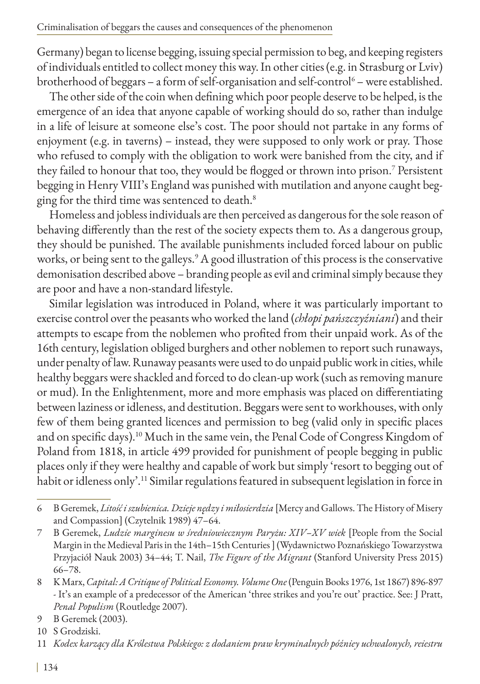Germany) began to license begging, issuing special permission to beg, and keeping registers of individuals entitled to collect money this way. In other cities (e.g. in Strasburg or Lviv) brotherhood of beggars – a form of self-organisation and self-control<sup>6</sup> – were established.

The other side of the coin when defining which poor people deserve to be helped, is the emergence of an idea that anyone capable of working should do so, rather than indulge in a life of leisure at someone else's cost. The poor should not partake in any forms of enjoyment (e.g. in taverns) – instead, they were supposed to only work or pray. Those who refused to comply with the obligation to work were banished from the city, and if they failed to honour that too, they would be flogged or thrown into prison.7 Persistent begging in Henry VIII's England was punished with mutilation and anyone caught begging for the third time was sentenced to death.<sup>8</sup>

Homeless and jobless individuals are then perceived as dangerous for the sole reason of behaving differently than the rest of the society expects them to. As a dangerous group, they should be punished. The available punishments included forced labour on public works, or being sent to the galleys.<sup>9</sup> A good illustration of this process is the conservative demonisation described above – branding people as evil and criminal simply because they are poor and have a non-standard lifestyle.

Similar legislation was introduced in Poland, where it was particularly important to exercise control over the peasants who worked the land (*chłopi pańszczyźniani*) and their attempts to escape from the noblemen who profited from their unpaid work. As of the 16th century, legislation obliged burghers and other noblemen to report such runaways, under penalty of law. Runaway peasants were used to do unpaid public work in cities, while healthy beggars were shackled and forced to do clean-up work (such as removing manure or mud). In the Enlightenment, more and more emphasis was placed on differentiating between laziness or idleness, and destitution. Beggars were sent to workhouses, with only few of them being granted licences and permission to beg (valid only in specific places and on specific days).10 Much in the same vein, the Penal Code of Congress Kingdom of Poland from 1818, in article 499 provided for punishment of people begging in public places only if they were healthy and capable of work but simply 'resort to begging out of habit or idleness only'.<sup>11</sup> Similar regulations featured in subsequent legislation in force in

<sup>6</sup> B Geremek, *Litość i szubienica. Dzieje nędzy i miłosierdzia* [Mercy and Gallows. The History of Misery and Compassion] (Czytelnik 1989) 47–64.

<sup>7</sup> B Geremek, *Ludzie marginesu w średniowiecznym Paryżu: XIV–XV wiek* [People from the Social Margin in the Medieval Paris in the 14th–15th Centuries ] (Wydawnictwo Poznańskiego Towarzystwa Przyjaciół Nauk 2003) 34–44; T. Nail, *The Figure of the Migrant* (Stanford University Press 2015) 66–78.

<sup>8</sup> K Marx, *Capital: A Critique of Political Economy. Volume One* (Penguin Books 1976, 1st 1867) 896-897 - It's an example of a predecessor of the American 'three strikes and you're out' practice. See: J Pratt, *Penal Populism* (Routledge 2007).

<sup>9</sup> B Geremek (2003).

<sup>10</sup> S Grodziski.

<sup>11</sup> *Kodex karzący dla Królestwa Polskiego: z dodaniem praw kryminalnych późniey uchwalonych, reiestru*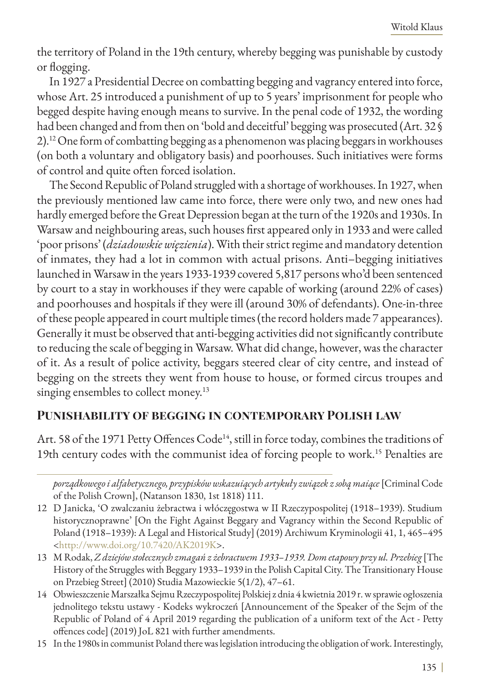the territory of Poland in the 19th century, whereby begging was punishable by custody or flogging.

In 1927 a Presidential Decree on combatting begging and vagrancy entered into force, whose Art. 25 introduced a punishment of up to 5 years' imprisonment for people who begged despite having enough means to survive. In the penal code of 1932, the wording had been changed and from then on 'bold and deceitful' begging was prosecuted (Art. 32 § 2).12 One form of combatting begging as a phenomenon was placing beggars in workhouses (on both a voluntary and obligatory basis) and poorhouses. Such initiatives were forms of control and quite often forced isolation.

The Second Republic of Poland struggled with a shortage of workhouses. In 1927, when the previously mentioned law came into force, there were only two, and new ones had hardly emerged before the Great Depression began at the turn of the 1920s and 1930s. In Warsaw and neighbouring areas, such houses first appeared only in 1933 and were called 'poor prisons' (*dziadowskie więzienia*). With their strict regime and mandatory detention of inmates, they had a lot in common with actual prisons. Anti–begging initiatives launched in Warsaw in the years 1933-1939 covered 5,817 persons who'd been sentenced by court to a stay in workhouses if they were capable of working (around 22% of cases) and poorhouses and hospitals if they were ill (around 30% of defendants). One-in-three of these people appeared in court multiple times (the record holders made 7 appearances). Generally it must be observed that anti-begging activities did not significantly contribute to reducing the scale of begging in Warsaw. What did change, however, was the character of it. As a result of police activity, beggars steered clear of city centre, and instead of begging on the streets they went from house to house, or formed circus troupes and singing ensembles to collect money.<sup>13</sup>

### **Punishability of begging in contemporary Polish law**

Art. 58 of the 1971 Petty Offences Code<sup>14</sup>, still in force today, combines the traditions of 19th century codes with the communist idea of forcing people to work.15 Penalties are

*porządkowego i alfabetycznego, przypisków wskazuiących artykuły związek z sobą maiące* [Criminal Code of the Polish Crown], (Natanson 1830, 1st 1818) 111.

<sup>12</sup> D Janicka, 'O zwalczaniu żebractwa i włóczęgostwa w II Rzeczypospolitej (1918–1939). Studium historycznoprawne' [On the Fight Against Beggary and Vagrancy within the Second Republic of Poland (1918–1939): A Legal and Historical Study] (2019) Archiwum Kryminologii 41, 1, 465–495 <<http://www.doi.org/10.7420/AK2019K>>.

<sup>13</sup> M Rodak, *Z dziejów stołecznych zmagań z żebractwem 1933–1939. Dom etapowy przy ul. Przebieg* [The History of the Struggles with Beggary 1933–1939 in the Polish Capital City. The Transitionary House on Przebieg Street] (2010) Studia Mazowieckie 5(1/2), 47–61.

<sup>14</sup> Obwieszczenie Marszałka Sejmu Rzeczypospolitej Polskiej z dnia 4 kwietnia 2019 r. w sprawie ogłoszenia jednolitego tekstu ustawy - Kodeks wykroczeń [Announcement of the Speaker of the Sejm of the Republic of Poland of 4 April 2019 regarding the publication of a uniform text of the Act - Petty offences code] (2019) JoL 821 with further amendments.

<sup>15</sup> In the 1980s in communist Poland there was legislation introducing the obligation of work. Interestingly,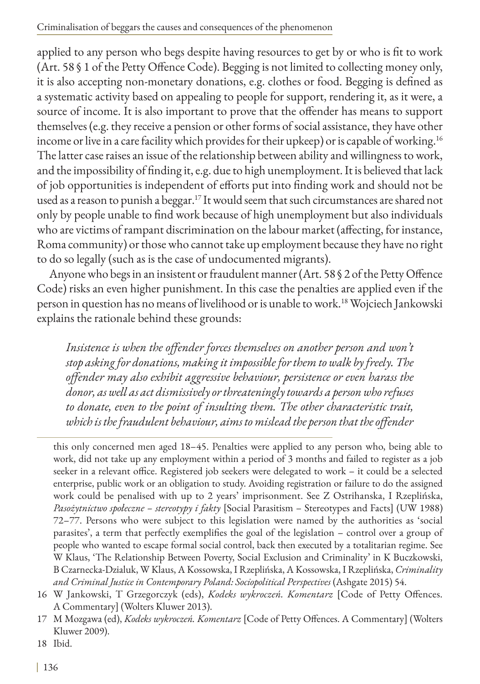applied to any person who begs despite having resources to get by or who is fit to work (Art. 58 § 1 of the Petty Offence Code). Begging is not limited to collecting money only, it is also accepting non-monetary donations, e.g. clothes or food. Begging is defined as a systematic activity based on appealing to people for support, rendering it, as it were, a source of income. It is also important to prove that the offender has means to support themselves (e.g. they receive a pension or other forms of social assistance, they have other income or live in a care facility which provides for their upkeep) or is capable of working.<sup>16</sup> The latter case raises an issue of the relationship between ability and willingness to work, and the impossibility of finding it, e.g. due to high unemployment. It is believed that lack of job opportunities is independent of efforts put into finding work and should not be used as a reason to punish a beggar.<sup>17</sup> It would seem that such circumstances are shared not only by people unable to find work because of high unemployment but also individuals who are victims of rampant discrimination on the labour market (affecting, for instance, Roma community) or those who cannot take up employment because they have no right to do so legally (such as is the case of undocumented migrants).

Anyone who begs in an insistent or fraudulent manner (Art. 58 § 2 of the Petty Offence Code) risks an even higher punishment. In this case the penalties are applied even if the person in question has no means of livelihood or is unable to work.<sup>18</sup> Wojciech Jankowski explains the rationale behind these grounds:

Insistence is when the offender forces themselves on another person and won't *stop asking for donations, making it impossible for them to walk by freely. The offender may also exhibit aggressive behaviour, persistence or even harass the donor, as well as act dismissively or threateningly towards a person who refuses to donate, even to the point of insulting them. The other characteristic trait, which is the fraudulent behaviour, aims to mislead the person that the offender* 

this only concerned men aged 18–45. Penalties were applied to any person who, being able to work, did not take up any employment within a period of 3 months and failed to register as a job seeker in a relevant office. Registered job seekers were delegated to work – it could be a selected enterprise, public work or an obligation to study. Avoiding registration or failure to do the assigned work could be penalised with up to 2 years' imprisonment. See Z Ostrihanska, I Rzeplińska, *Pasożytnictwo społeczne – stereotypy i fakty* [Social Parasitism – Stereotypes and Facts] (UW 1988) 72–77. Persons who were subject to this legislation were named by the authorities as 'social parasites', a term that perfectly exemplifies the goal of the legislation – control over a group of people who wanted to escape formal social control, back then executed by a totalitarian regime. See W Klaus, 'The Relationship Between Poverty, Social Exclusion and Criminality' in K Buczkowski, B Czarnecka-Dzialuk, W Klaus, A Kossowska, I Rzeplińska, A Kossowska, I Rzeplińska, *Criminality and Criminal Justice in Contemporary Poland: Sociopolitical Perspectives* (Ashgate 2015) 54.

18 Ibid.

<sup>16</sup> W Jankowski, T Grzegorczyk (eds), *Kodeks wykroczeń. Komentarz* [Code of Petty Offences. A Commentary] (Wolters Kluwer 2013).

<sup>17</sup> M Mozgawa (ed), *Kodeks wykroczeń. Komentarz* [Code of Petty Offences. A Commentary] (Wolters Kluwer 2009).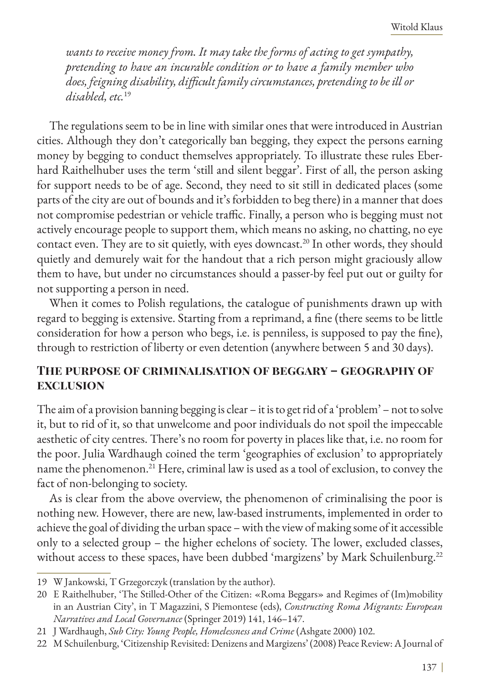*wants to receive money from. It may take the forms of acting to get sympathy, pretending to have an incurable condition or to have a family member who does, feigning disability, difficult family circumstances, pretending to be ill or disabled, etc.*<sup>19</sup>

The regulations seem to be in line with similar ones that were introduced in Austrian cities. Although they don't categorically ban begging, they expect the persons earning money by begging to conduct themselves appropriately. To illustrate these rules Eberhard Raithelhuber uses the term 'still and silent beggar'. First of all, the person asking for support needs to be of age. Second, they need to sit still in dedicated places (some parts of the city are out of bounds and it's forbidden to beg there) in a manner that does not compromise pedestrian or vehicle traffic. Finally, a person who is begging must not actively encourage people to support them, which means no asking, no chatting, no eye contact even. They are to sit quietly, with eyes downcast.<sup>20</sup> In other words, they should quietly and demurely wait for the handout that a rich person might graciously allow them to have, but under no circumstances should a passer-by feel put out or guilty for not supporting a person in need.

When it comes to Polish regulations, the catalogue of punishments drawn up with regard to begging is extensive. Starting from a reprimand, a fine (there seems to be little consideration for how a person who begs, i.e. is penniless, is supposed to pay the fine), through to restriction of liberty or even detention (anywhere between 5 and 30 days).

## **The purpose of criminalisation of beggary – geography of exclusion**

The aim of a provision banning begging is clear – it is to get rid of a 'problem' – not to solve it, but to rid of it, so that unwelcome and poor individuals do not spoil the impeccable aesthetic of city centres. There's no room for poverty in places like that, i.e. no room for the poor. Julia Wardhaugh coined the term 'geographies of exclusion' to appropriately name the phenomenon.<sup>21</sup> Here, criminal law is used as a tool of exclusion, to convey the fact of non-belonging to society.

As is clear from the above overview, the phenomenon of criminalising the poor is nothing new. However, there are new, law-based instruments, implemented in order to achieve the goal of dividing the urban space – with the view of making some of it accessible only to a selected group – the higher echelons of society. The lower, excluded classes, without access to these spaces, have been dubbed 'margizens' by Mark Schuilenburg.<sup>22</sup>

<sup>19</sup> W Jankowski, T Grzegorczyk (translation by the author).

<sup>20</sup> E Raithelhuber, 'The Stilled-Other of the Citizen: «Roma Beggars» and Regimes of (Im)mobility in an Austrian City', in T Magazzini, S Piemontese (eds), *Constructing Roma Migrants: European Narratives and Local Governance* (Springer 2019) 141, 146–147.

<sup>21</sup> J Wardhaugh, *Sub City: Young People, Homelessness and Crime* (Ashgate 2000) 102.

<sup>22</sup> M Schuilenburg, 'Citizenship Revisited: Denizens and Margizens' (2008) Peace Review: A Journal of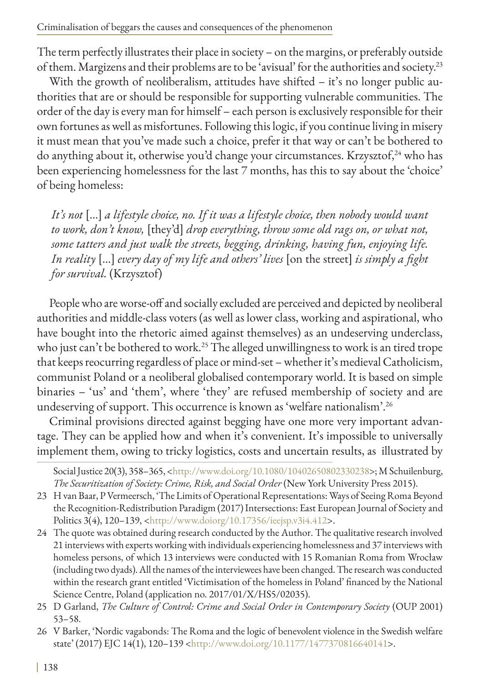Criminalisation of beggars the causes and consequences of the phenomenon

The term perfectly illustrates their place in society – on the margins, or preferably outside of them. Margizens and their problems are to be 'avisual' for the authorities and society.23

With the growth of neoliberalism, attitudes have shifted - it's no longer public authorities that are or should be responsible for supporting vulnerable communities. The order of the day is every man for himself – each person is exclusively responsible for their own fortunes as well as misfortunes. Following this logic, if you continue living in misery it must mean that you've made such a choice, prefer it that way or can't be bothered to do anything about it, otherwise you'd change your circumstances. Krzysztof,<sup>24</sup> who has been experiencing homelessness for the last 7 months, has this to say about the 'choice' of being homeless:

*It's not* [...] *a lifestyle choice, no. If it was a lifestyle choice, then nobody would want to work, don't know,* [they'd] *drop everything, throw some old rags on, or what not, some tatters and just walk the streets, begging, drinking, having fun, enjoying life. In reality* [...] *every day of my life and others' lives* [on the street] *is simply a fight for survival.* (Krzysztof)

People who are worse-off and socially excluded are perceived and depicted by neoliberal authorities and middle-class voters (as well as lower class, working and aspirational, who have bought into the rhetoric aimed against themselves) as an undeserving underclass, who just can't be bothered to work.<sup>25</sup> The alleged unwillingness to work is an tired trope that keeps reocurring regardless of place or mind-set – whether it's medieval Catholicism, communist Poland or a neoliberal globalised contemporary world. It is based on simple binaries – 'us' and 'them', where 'they' are refused membership of society and are undeserving of support. This occurrence is known as 'welfare nationalism'.26

Criminal provisions directed against begging have one more very important advantage. They can be applied how and when it's convenient. It's impossible to universally implement them, owing to tricky logistics, costs and uncertain results, as illustrated by

Social Justice 20(3), 358–365, <http://www.doi.org/10.1080/10402650802330238>; M Schuilenburg, *The Securitization of Society: Crime, Risk, and Social Order* (New York University Press 2015).

- 23 H van Baar, P Vermeersch, 'The Limits of Operational Representations: Ways of Seeing Roma Beyond the Recognition-Redistribution Paradigm (2017) Intersections: East European Journal of Society and Politics 3(4), 120–139, <<http://www.doiorg/10.17356/ieejsp.v3i4.412>>.
- 24 The quote was obtained during research conducted by the Author. The qualitative research involved 21 interviews with experts working with individuals experiencing homelessness and 37 interviews with homeless persons, of which 13 interviews were conducted with 15 Romanian Roma from Wrocław (including two dyads). All the names of the interviewees have been changed. The research was conducted within the research grant entitled 'Victimisation of the homeless in Poland' financed by the National Science Centre, Poland (application no. 2017/01/X/HS5/02035).
- 25 D Garland, *The Culture of Control: Crime and Social Order in Contemporary Society* (OUP 2001) 53–58.
- 26 V Barker, 'Nordic vagabonds: The Roma and the logic of benevolent violence in the Swedish welfare state' (2017) EJC 14(1), 120–139 [<http://www.doi.org/10.1177/1477370816640141](http://www.doi.org/10.1177/1477370816640141)>.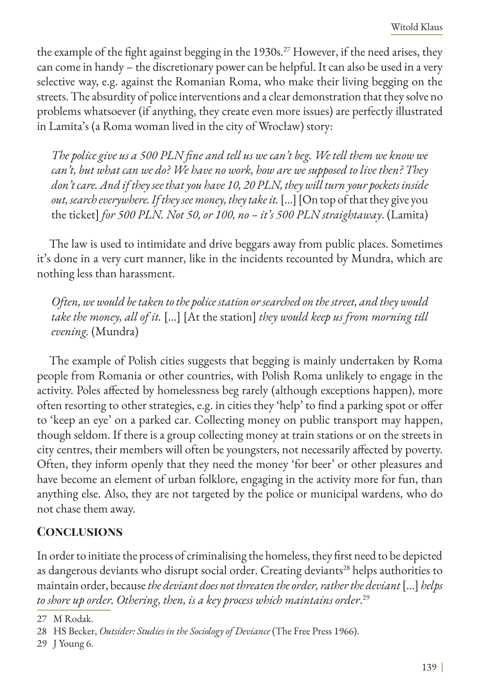the example of the fight against begging in the 1930s.<sup>27</sup> However, if the need arises, they can come in handy – the discretionary power can be helpful. It can also be used in a very selective way, e.g. against the Romanian Roma, who make their living begging on the streets. The absurdity of police interventions and a clear demonstration that they solve no problems whatsoever (if anything, they create even more issues) are perfectly illustrated in Lamita's (a Roma woman lived in the city of Wrocław) story:

*The police give us a 500 PLN fine and tell us we can't beg. We tell them we know we can't, but what can we do? We have no work, how are we supposed to live then? They don't care. And if they see that you have 10, 20 PLN, they will turn your pockets inside*  out, search everywhere. If they see money, they take it. [...] [On top of that they give you the ticket] *for 500 PLN. Not 50, or 100, no – it's 500 PLN straightaway*. (Lamita)

The law is used to intimidate and drive beggars away from public places. Sometimes it's done in a very curt manner, like in the incidents recounted by Mundra, which are nothing less than harassment.

*Often, we would be taken to the police station or searched on the street, and they would take the money, all of it.* [...] [At the station] *they would keep us from morning till evening.* (Mundra)

The example of Polish cities suggests that begging is mainly undertaken by Roma people from Romania or other countries, with Polish Roma unlikely to engage in the activity. Poles affected by homelessness beg rarely (although exceptions happen), more often resorting to other strategies, e.g. in cities they 'help' to find a parking spot or offer to 'keep an eye' on a parked car. Collecting money on public transport may happen, though seldom. If there is a group collecting money at train stations or on the streets in city centres, their members will often be youngsters, not necessarily affected by poverty. Often, they inform openly that they need the money 'for beer' or other pleasures and have become an element of urban folklore, engaging in the activity more for fun, than anything else. Also, they are not targeted by the police or municipal wardens, who do not chase them away.

## **Conclusions**

In order to initiate the process of criminalising the homeless, they first need to be depicted as dangerous deviants who disrupt social order. Creating deviants<sup>28</sup> helps authorities to maintain order, because *the deviant does not threaten the order, rather the deviant* [...] *helps to shore up order. Othering, then, is a key process which maintains order*. 29

<sup>27</sup> M Rodak.

<sup>28</sup> HS Becker, *Outsider: Studies in the Sociology of Deviance* (The Free Press 1966).

<sup>29</sup> J Young 6.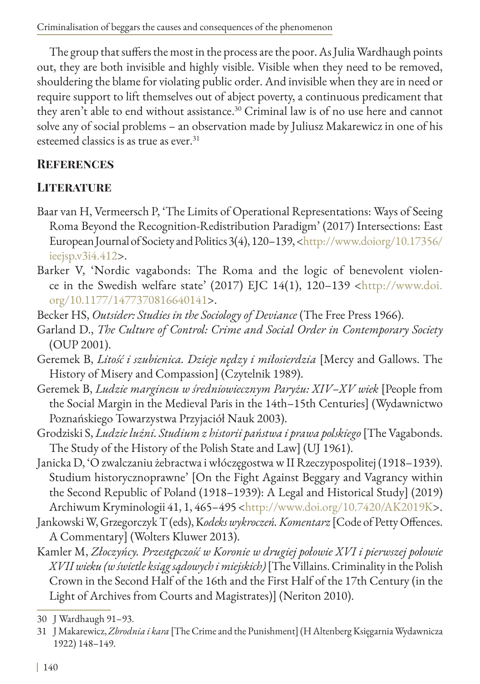The group that suffers the most in the process are the poor. As Julia Wardhaugh points out, they are both invisible and highly visible. Visible when they need to be removed, shouldering the blame for violating public order. And invisible when they are in need or require support to lift themselves out of abject poverty, a continuous predicament that they aren't able to end without assistance.<sup>30</sup> Criminal law is of no use here and cannot solve any of social problems – an observation made by Juliusz Makarewicz in one of his esteemed classics is as true as ever.<sup>31</sup>

## **References**

# **Literature**

- Baar van H, Vermeersch P, 'The Limits of Operational Representations: Ways of Seeing Roma Beyond the Recognition-Redistribution Paradigm' (2017) Intersections: East European Journal of Society and Politics 3(4), 120–139, <[http://www.doiorg/10.17356/](http://www.doiorg/10.17356/ieejsp.v3i4.412) [ieejsp.v3i4.412](http://www.doiorg/10.17356/ieejsp.v3i4.412)>.
- Barker V, 'Nordic vagabonds: The Roma and the logic of benevolent violence in the Swedish welfare state' (2017) EJC 14(1), 120–139 <[http://www.doi.](http://www.doi.org/10.1177/1477370816640141) [org/10.1177/1477370816640141](http://www.doi.org/10.1177/1477370816640141)>.
- Becker HS, *Outsider: Studies in the Sociology of Deviance* (The Free Press 1966).
- Garland D., *The Culture of Control: Crime and Social Order in Contemporary Society* (OUP 2001).
- Geremek B, *Litość i szubienica. Dzieje nędzy i miłosierdzia* [Mercy and Gallows. The History of Misery and Compassion] (Czytelnik 1989).
- Geremek B, *Ludzie marginesu w średniowiecznym Paryżu: XIV–XV wiek* [People from the Social Margin in the Medieval Paris in the 14th–15th Centuries] (Wydawnictwo Poznańskiego Towarzystwa Przyjaciół Nauk 2003).
- Grodziski S, *Ludzie luźni. Studium z historii państwa i prawa polskiego* [The Vagabonds. The Study of the History of the Polish State and Law] (UJ 1961).
- Janicka D, 'O zwalczaniu żebractwa i włóczęgostwa w II Rzeczypospolitej (1918–1939). Studium historycznoprawne' [On the Fight Against Beggary and Vagrancy within the Second Republic of Poland (1918–1939): A Legal and Historical Study] (2019) Archiwum Kryminologii 41, 1, 465–495 <http://www.doi.org/10.7420/AK2019K>.
- Jankowski W, Grzegorczyk T (eds), K*odeks wykroczeń. Komentarz* [Code of Petty Offences. A Commentary] (Wolters Kluwer 2013).
- Kamler M, *Złoczyńcy. Przestępczość w Koronie w drugiej połowie XVI i pierwszej połowie XVII wieku (w świetle ksiąg sądowych i miejskich)* [The Villains. Criminality in the Polish Crown in the Second Half of the 16th and the First Half of the 17th Century (in the Light of Archives from Courts and Magistrates)] (Neriton 2010).

<sup>30</sup> J Wardhaugh 91–93.

<sup>31</sup> J Makarewicz, *Zbrodnia i kara* [The Crime and the Punishment] (H Altenberg Księgarnia Wydawnicza 1922) 148–149.